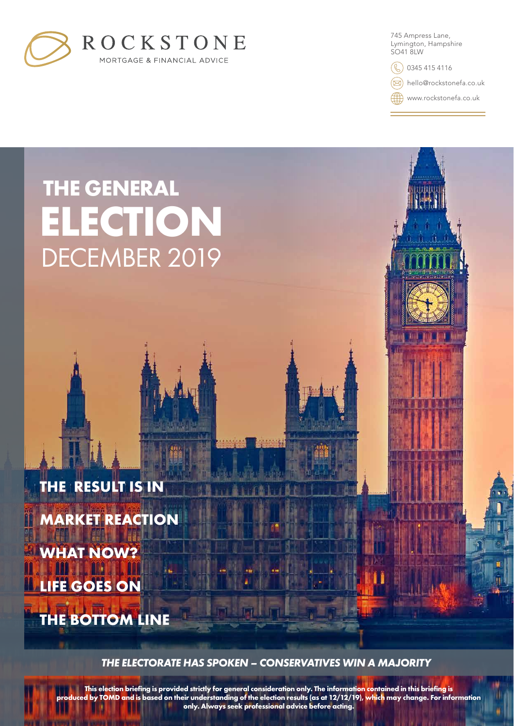

745 Ampress Lane, Lymington, Hampshire SO41 8LW

 $(\mathbb{C})$  0345 415 4116

hello@rockstonefa.co.uk

 $\overleftrightarrow{B}$  www.rockstonefa.co.uk

# **THE GENERAL ELECTION** DECEMBER 2019

**THE RESULT IS IN MARKET REACTION WHAT NOW?**

**LIFE GOES ON**

**THE BOTTOM LINE**

*THE ELECTORATE HAS SPOKEN – CONSERVATIVES WIN A MAJORITY*

 $\sqrt{1.5}$ 

**This election briefing is provided strictly for general consideration only. The information contained in this briefing is produced by TOMD and is based on their understanding of the election results (as at 12/12/19), which may change. For information only. Always seek professional advice before acting.**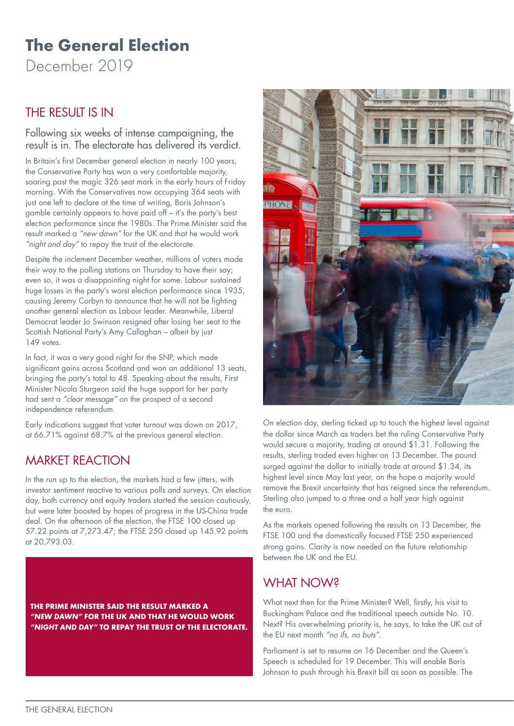## **The General Election**

December 2019

#### THE RESULT IS IN

#### Following six weeks of intense campaigning, the result is in. The electorate has delivered its verdict.

In Britain's first December general election in nearly 100 years, the Conservative Party has won a very comfortable majority, soaring past the magic 326 seat mark in the early hours of Friday morning. With the Conservatives now occupying 364 seats with just one left to declare at the time of writing, Boris Johnson's gamble certainly appears to have paid off – it's the party's best election performance since the 1980s. The Prime Minister said the result marked a *"new dawn"* for the UK and that he would work *"night and day"* to repay the trust of the electorate.

Despite the inclement December weather, millions of voters made their way to the polling stations on Thursday to have their say; even so, it was a disappointing night for some. Labour sustained huge losses in the party's worst election performance since 1935, causing Jeremy Corbyn to announce that he will not be fighting another general election as Labour leader. Meanwhile, Liberal Democrat leader Jo Swinson resigned after losing her seat to the Scottish National Party's Amy Callaghan – albeit by just 149 votes.

In fact, it was a very good night for the SNP, which made significant gains across Scotland and won an additional 13 seats, bringing the party's total to 48. Speaking about the results, First Minister Nicola Sturgeon said the huge support for her party had sent a *"clear message"* on the prospect of a second independence referendum.

Early indications suggest that voter turnout was down on 2017, at 66.71% against 68.7% at the previous general election.

#### MARKET REACTION

In the run up to the election, the markets had a few jitters, with investor sentiment reactive to various polls and surveys. On election day, both currency and equity traders started the session cautiously, but were later boosted by hopes of progress in the US-China trade deal. On the afternoon of the election, the FTSE 100 closed up 57.22 points at 7,273.47; the FTSE 250 closed up 145.92 points at 20,793.03.

**THE PRIME MINISTER SAID THE RESULT MARKED A**  *"NEW DAWN"* **FOR THE UK AND THAT HE WOULD WORK**  *"NIGHT AND DAY"* **TO REPAY THE TRUST OF THE ELECTORATE.**



On election day, sterling ticked up to touch the highest level against the dollar since March as traders bet the ruling Conservative Party would secure a majority, trading at around \$1.31. Following the results, sterling traded even higher on 13 December. The pound surged against the dollar to initially trade at around \$1.34, its highest level since May last year, on the hope a majority would remove the Brexit uncertainty that has reigned since the referendum. Sterling also jumped to a three and a half year high against the euro.

As the markets opened following the results on 13 December, the FTSE 100 and the domestically focused FTSE 250 experienced strong gains. Clarity is now needed on the future relationship between the UK and the EU.

#### WHAT NOW?

What next then for the Prime Minister? Well, firstly, his visit to Buckingham Palace and the traditional speech outside No. 10. Next? His overwhelming priority is, he says, to take the UK out of the EU next month *"no ifs, no buts"*.

Parliament is set to resume on 16 December and the Queen's Speech is scheduled for 19 December. This will enable Boris Johnson to push through his Brexit bill as soon as possible. The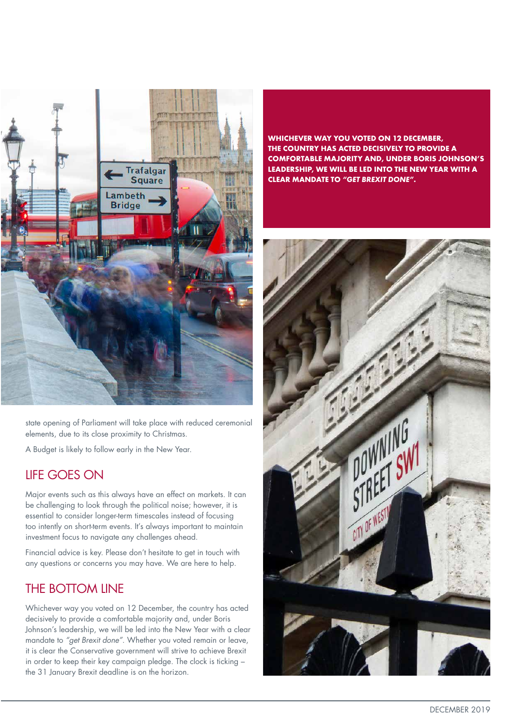

state opening of Parliament will take place with reduced ceremonial elements, due to its close proximity to Christmas.

A Budget is likely to follow early in the New Year.

#### LIFE GOES ON

Major events such as this always have an effect on markets. It can be challenging to look through the political noise; however, it is essential to consider longer-term timescales instead of focusing too intently on short-term events. It's always important to maintain investment focus to navigate any challenges ahead.

Financial advice is key. Please don't hesitate to get in touch with any questions or concerns you may have. We are here to help.

### THE BOTTOM LINE

Whichever way you voted on 12 December, the country has acted decisively to provide a comfortable majority and, under Boris Johnson's leadership, we will be led into the New Year with a clear mandate to *"get Brexit done"*. Whether you voted remain or leave, it is clear the Conservative government will strive to achieve Brexit in order to keep their key campaign pledge. The clock is ticking – the 31 January Brexit deadline is on the horizon.

**WHICHEVER WAY YOU VOTED ON 12 DECEMBER, THE COUNTRY HAS ACTED DECISIVELY TO PROVIDE A COMFORTABLE MAJORITY AND, UNDER BORIS JOHNSON'S LEADERSHIP, WE WILL BE LED INTO THE NEW YEAR WITH A CLEAR MANDATE TO** *"GET BREXIT DONE"***.**